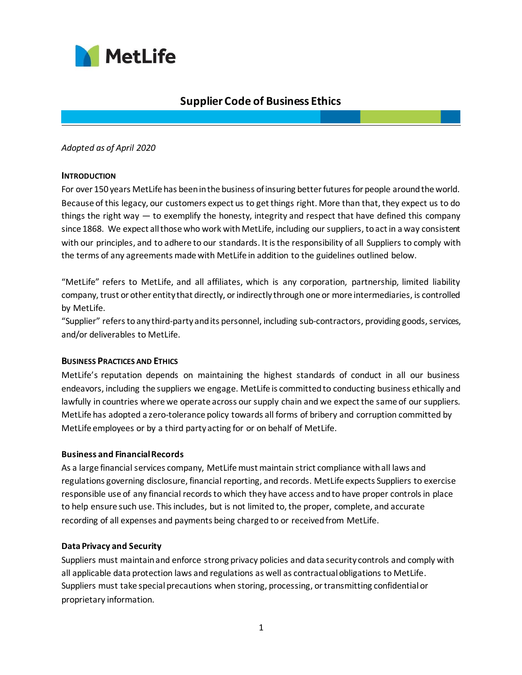

# **Supplier Code of Business Ethics**

*Adopted as of April 2020*

## **INTRODUCTION**

For over 150 years MetLife has been in the business of insuring better futures for people around the world. Because of this legacy, our customers expect us to get things right. More than that, they expect us to do things the right way — to exemplify the honesty, integrity and respect that have defined this company since 1868. We expect all those who work with MetLife, including our suppliers, to act in a way consistent with our principles, and to adhere to our standards. It is the responsibility of all Suppliers to comply with the terms of any agreements made with MetLife in addition to the guidelines outlined below.

"MetLife" refers to MetLife, and all affiliates, which is any corporation, partnership, limited liability company, trust or other entity that directly, or indirectly through one or more intermediaries, is controlled by MetLife.

"Supplier" refers toany third-party and its personnel, including sub-contractors, providing goods, services, and/or deliverables to MetLife.

## **BUSINESS PRACTICES AND ETHICS**

MetLife's reputation depends on maintaining the highest standards of conduct in all our business endeavors, including the suppliers we engage. MetLife is committed to conducting business ethically and lawfully in countries where we operate across our supply chain and we expect the same of our suppliers. MetLife has adopted a zero-tolerance policy towards all forms of bribery and corruption committed by MetLife employees or by a third party acting for or on behalf of MetLife.

## **Business and Financial Records**

As a large financial services company, MetLifemust maintain strict compliance with all laws and regulations governing disclosure, financial reporting, and records. MetLife expects Suppliers to exercise responsible use of any financial records to which they have access and to have proper controls in place to help ensure such use. This includes, but is not limited to, the proper, complete, and accurate recording of all expenses and payments being charged to or received from MetLife.

## **Data Privacy and Security**

Suppliers must maintain and enforce strong privacy policies and data security controls and comply with all applicable data protection laws and regulations as well as contractual obligations to MetLife. Suppliers must take special precautions when storing, processing, or transmitting confidential or proprietary information.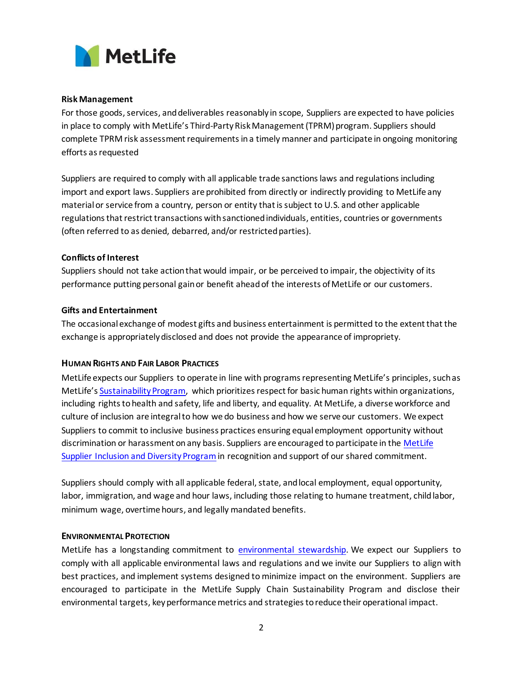

## **Risk Management**

For those goods, services, and deliverables reasonably in scope, Suppliers are expected to have policies in place to comply with MetLife's Third-Party Risk Management (TPRM) program. Suppliers should complete TPRM risk assessment requirements in a timely manner and participate in ongoing monitoring efforts as requested

Suppliers are required to comply with all applicable trade sanctions laws and regulationsincluding import and export laws. Suppliers are prohibited from directly or indirectly providing to MetLife any material or service from a country, person or entity that is subject to U.S. and other applicable regulations that restrict transactions with sanctioned individuals, entities, countries or governments (often referred to as denied, debarred, and/or restricted parties).

## **Conflicts of Interest**

Suppliers should not take action that would impair, or be perceived to impair, the objectivity of its performance putting personal gain or benefit ahead of the interests of MetLife or our customers.

## **Gifts and Entertainment**

The occasional exchange of modest gifts and business entertainment is permitted to the extent that the exchange is appropriately disclosed and does not provide the appearance of impropriety.

## **HUMAN RIGHTS AND FAIR LABOR PRACTICES**

MetLife expects our Suppliers to operate in line with programs representing MetLife's principles, such as MetLife's [Sustainability Program,](https://www.metlife.com/corporate-responsibility/) which prioritizes respect for basic human rights within organizations, including rights to health and safety, life and liberty, and equality. At MetLife, a diverse workforce and culture of inclusion are integral to how we do business and how we serve our customers. We expect Suppliers to commit to inclusive business practices ensuring equal employment opportunity without discrimination or harassment on any basis. Suppliers are encouraged to participate in th[e MetLife](https://www.metlife.com/about-us/corporate-profile/global-procurement/)  [Supplier Inclusion and Diversity Program](https://www.metlife.com/about-us/corporate-profile/global-procurement/) in recognition and support of our shared commitment.

Suppliers should comply with all applicable federal, state, and local employment, equal opportunity, labor, immigration, and wage and hour laws, including those relating to humane treatment, child labor, minimum wage, overtime hours, and legally mandated benefits.

## **ENVIRONMENTAL PROTECTION**

MetLife has a longstanding commitment to [environmental stewardship](https://www.metlife.com/corporate-responsibility/environment/). We expect our Suppliers to comply with all applicable environmental laws and regulations and we invite our Suppliers to align with best practices, and implement systems designed to minimize impact on the environment. Suppliers are encouraged to participate in the MetLife Supply Chain Sustainability Program and disclose their environmental targets, key performance metrics and strategies to reduce their operational impact.